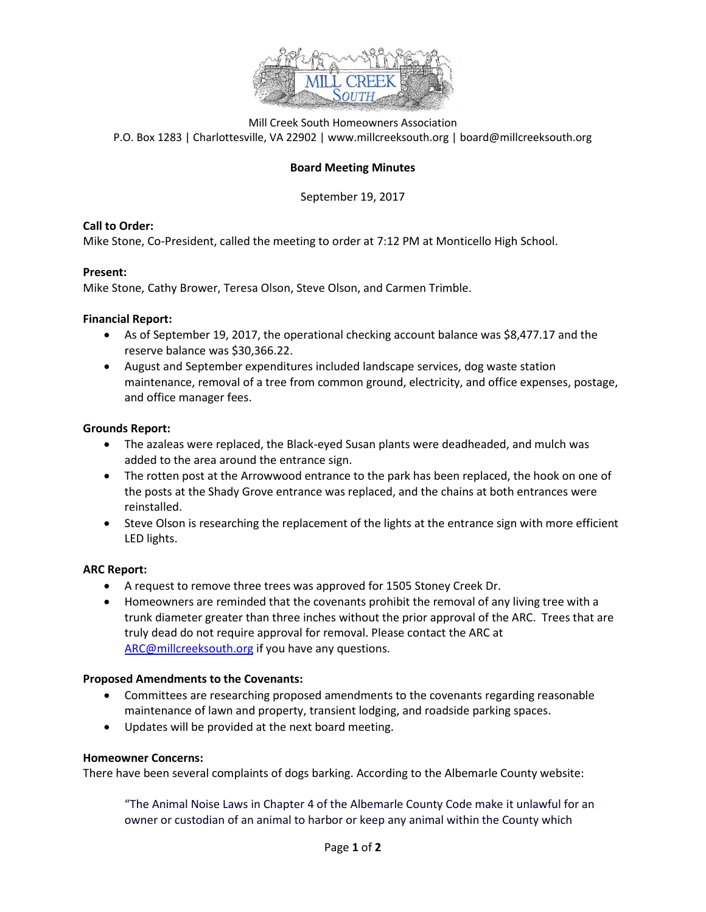

Mill Creek South Homeowners Association P.O. Box 1283 | Charlottesville, VA 22902 | www.millcreeksouth.org | board@millcreeksouth.org

## **Board Meeting Minutes**

September 19, 2017

## **Call to Order:**

Mike Stone, Co-President, called the meeting to order at 7:12 PM at Monticello High School.

## **Present:**

Mike Stone, Cathy Brower, Teresa Olson, Steve Olson, and Carmen Trimble.

#### **Financial Report:**

- As of September 19, 2017, the operational checking account balance was \$8,477.17 and the reserve balance was \$30,366.22.
- August and September expenditures included landscape services, dog waste station maintenance, removal of a tree from common ground, electricity, and office expenses, postage, and office manager fees.

#### **Grounds Report:**

- The azaleas were replaced, the Black-eyed Susan plants were deadheaded, and mulch was added to the area around the entrance sign.
- The rotten post at the Arrowwood entrance to the park has been replaced, the hook on one of the posts at the Shady Grove entrance was replaced, and the chains at both entrances were reinstalled.
- Steve Olson is researching the replacement of the lights at the entrance sign with more efficient LED lights.

## **ARC Report:**

- A request to remove three trees was approved for 1505 Stoney Creek Dr.
- Homeowners are reminded that the covenants prohibit the removal of any living tree with a trunk diameter greater than three inches without the prior approval of the ARC. Trees that are truly dead do not require approval for removal. Please contact the ARC at [ARC@millcreeksouth.org](mailto:ARC@millcreeksouth.org) if you have any questions.

## **Proposed Amendments to the Covenants:**

- Committees are researching proposed amendments to the covenants regarding reasonable maintenance of lawn and property, transient lodging, and roadside parking spaces.
- Updates will be provided at the next board meeting.

## **Homeowner Concerns:**

There have been several complaints of dogs barking. According to the Albemarle County website:

"The Animal Noise Laws in Chapter 4 of the Albemarle County Code make it unlawful for an owner or custodian of an animal to harbor or keep any animal within the County which